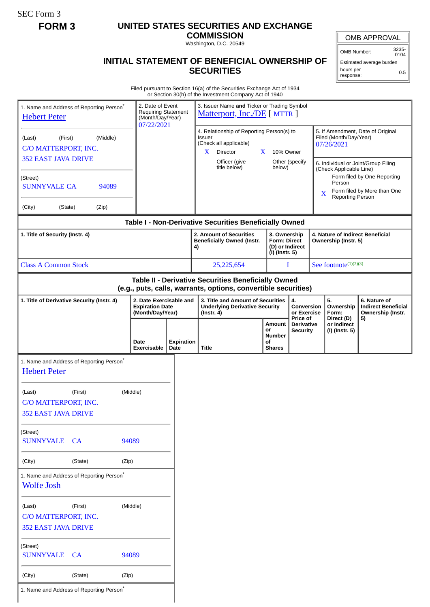SEC Form 3

I

## **FORM 3 UNITED STATES SECURITIES AND EXCHANGE**

**COMMISSION** Washington, D.C. 20549

## **INITIAL STATEMENT OF BENEFICIAL OWNERSHIP OF SECURITIES**

OMB APPROVAL

OMB Number: 3235-0104

Estimated average burden hours per response: 0.5

Filed pursuant to Section 16(a) of the Securities Exchange Act of 1934 or Section 30(h) of the Investment Company Act of 1940

|                                                                                                                       |                                                                                         |       |                                                                       |                                                                                                                                               | or Section 30(h) of the Investment Company Act of 1940                                                                                         |                                                      |                                                  |                                                                                                                                             |                                             |                                                                 |
|-----------------------------------------------------------------------------------------------------------------------|-----------------------------------------------------------------------------------------|-------|-----------------------------------------------------------------------|-----------------------------------------------------------------------------------------------------------------------------------------------|------------------------------------------------------------------------------------------------------------------------------------------------|------------------------------------------------------|--------------------------------------------------|---------------------------------------------------------------------------------------------------------------------------------------------|---------------------------------------------|-----------------------------------------------------------------|
| 1. Name and Address of Reporting Person <sup>®</sup><br><b>Hebert Peter</b>                                           |                                                                                         |       | 2. Date of Event<br><b>Requiring Statement</b><br>(Month/Day/Year)    |                                                                                                                                               | 3. Issuer Name and Ticker or Trading Symbol<br>Matterport, Inc./DE [ MTTR ]                                                                    |                                                      |                                                  |                                                                                                                                             |                                             |                                                                 |
| (Last)                                                                                                                | 07/22/2021<br>(First)<br>(Middle)<br>C/O MATTERPORT, INC.<br><b>352 EAST JAVA DRIVE</b> |       |                                                                       | 4. Relationship of Reporting Person(s) to<br><b>Issuer</b><br>(Check all applicable)<br>Director<br>X.<br>X.<br>Officer (give<br>title below) |                                                                                                                                                | 10% Owner<br>Other (specify<br>below)                |                                                  | 5. If Amendment, Date of Original<br>Filed (Month/Day/Year)<br>07/26/2021<br>6. Individual or Joint/Group Filing<br>(Check Applicable Line) |                                             |                                                                 |
| (Street)<br><b>SUNNYVALE CA</b>                                                                                       |                                                                                         | 94089 |                                                                       |                                                                                                                                               |                                                                                                                                                |                                                      |                                                  | X                                                                                                                                           | Person<br>Reporting Person                  | Form filed by One Reporting<br>Form filed by More than One      |
| (City)<br>(State)                                                                                                     |                                                                                         | (Zip) |                                                                       |                                                                                                                                               | Table I - Non-Derivative Securities Beneficially Owned                                                                                         |                                                      |                                                  |                                                                                                                                             |                                             |                                                                 |
| 1. Title of Security (Instr. 4)                                                                                       |                                                                                         |       |                                                                       |                                                                                                                                               | 2. Amount of Securities<br>3. Ownership<br><b>Form: Direct</b><br><b>Beneficially Owned (Instr.</b><br>(D) or Indirect<br>4)<br>(I) (Instr. 5) |                                                      |                                                  | 4. Nature of Indirect Beneficial<br>Ownership (Instr. 5)                                                                                    |                                             |                                                                 |
| <b>Class A Common Stock</b>                                                                                           |                                                                                         |       |                                                                       |                                                                                                                                               | 25,225,654                                                                                                                                     |                                                      | I                                                |                                                                                                                                             | See footnote $(1)(2)(3)$                    |                                                                 |
| Table II - Derivative Securities Beneficially Owned<br>(e.g., puts, calls, warrants, options, convertible securities) |                                                                                         |       |                                                                       |                                                                                                                                               |                                                                                                                                                |                                                      |                                                  |                                                                                                                                             |                                             |                                                                 |
| 1. Title of Derivative Security (Instr. 4)                                                                            |                                                                                         |       | 2. Date Exercisable and<br><b>Expiration Date</b><br>(Month/Day/Year) |                                                                                                                                               | 3. Title and Amount of Securities<br><b>Underlying Derivative Security</b><br>$($ lnstr. 4 $)$                                                 |                                                      | 4.<br>Conversion<br>or Exercise                  |                                                                                                                                             | 5.<br>Ownership<br>Form:                    | 6. Nature of<br><b>Indirect Beneficial</b><br>Ownership (Instr. |
|                                                                                                                       |                                                                                         |       | Date<br>Exercisable                                                   | <b>Expiration</b><br>Date                                                                                                                     | <b>Title</b>                                                                                                                                   | Amount<br>or<br><b>Number</b><br>οf<br><b>Shares</b> | Price of<br><b>Derivative</b><br><b>Security</b> |                                                                                                                                             | Direct (D)<br>or Indirect<br>(I) (Instr. 5) | 5)                                                              |
| 1. Name and Address of Reporting Person <sup>®</sup><br><b>Hebert Peter</b>                                           |                                                                                         |       |                                                                       |                                                                                                                                               |                                                                                                                                                |                                                      |                                                  |                                                                                                                                             |                                             |                                                                 |
| (Last)                                                                                                                | (Middle)<br>(First)<br>C/O MATTERPORT, INC.<br><b>352 EAST JAVA DRIVE</b>               |       |                                                                       |                                                                                                                                               |                                                                                                                                                |                                                      |                                                  |                                                                                                                                             |                                             |                                                                 |
| (Street)<br><b>SUNNYVALE</b>                                                                                          | CA<br>94089                                                                             |       |                                                                       |                                                                                                                                               |                                                                                                                                                |                                                      |                                                  |                                                                                                                                             |                                             |                                                                 |
| (City)                                                                                                                | (State)<br>(Zip)                                                                        |       |                                                                       |                                                                                                                                               |                                                                                                                                                |                                                      |                                                  |                                                                                                                                             |                                             |                                                                 |
| 1. Name and Address of Reporting Person <sup>*</sup><br><b>Wolfe Josh</b>                                             |                                                                                         |       |                                                                       |                                                                                                                                               |                                                                                                                                                |                                                      |                                                  |                                                                                                                                             |                                             |                                                                 |
| (Last)<br>C/O MATTERPORT, INC.<br><b>352 EAST JAVA DRIVE</b>                                                          | (First)                                                                                 |       | (Middle)                                                              |                                                                                                                                               |                                                                                                                                                |                                                      |                                                  |                                                                                                                                             |                                             |                                                                 |
| (Street)<br><b>SUNNYVALE</b>                                                                                          | CA                                                                                      | 94089 |                                                                       |                                                                                                                                               |                                                                                                                                                |                                                      |                                                  |                                                                                                                                             |                                             |                                                                 |
| (City)                                                                                                                | (State)                                                                                 | (Zip) |                                                                       |                                                                                                                                               |                                                                                                                                                |                                                      |                                                  |                                                                                                                                             |                                             |                                                                 |
| 1. Name and Address of Reporting Person <sup>*</sup>                                                                  |                                                                                         |       |                                                                       |                                                                                                                                               |                                                                                                                                                |                                                      |                                                  |                                                                                                                                             |                                             |                                                                 |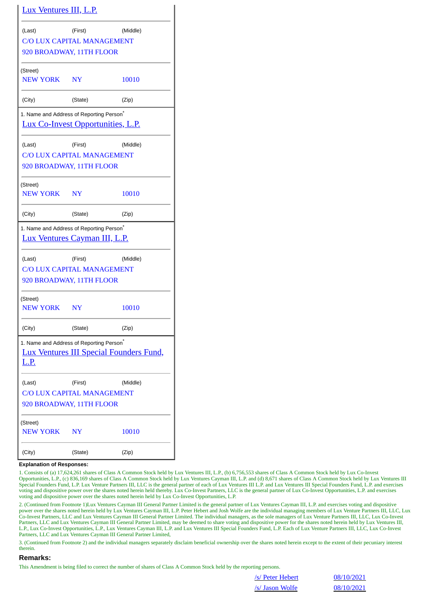| <u>Lux Ventures III, L.P.</u>                                                                    |                                                                                                        |          |  |  |  |  |  |  |
|--------------------------------------------------------------------------------------------------|--------------------------------------------------------------------------------------------------------|----------|--|--|--|--|--|--|
| (Last)                                                                                           | (First)<br><b>C/O LUX CAPITAL MANAGEMENT</b><br>920 BROADWAY, 11TH FLOOR                               | (Middle) |  |  |  |  |  |  |
| (Street)<br>NEW YORK NY                                                                          |                                                                                                        | 10010    |  |  |  |  |  |  |
| (City)                                                                                           | (State)                                                                                                | (Zip)    |  |  |  |  |  |  |
| 1. Name and Address of Reporting Person <sup>®</sup><br><u>Lux Co-Invest Opportunities, L.P.</u> |                                                                                                        |          |  |  |  |  |  |  |
| (Last)                                                                                           | (First)<br><b>C/O LUX CAPITAL MANAGEMENT</b><br>920 BROADWAY, 11TH FLOOR                               | (Middle) |  |  |  |  |  |  |
| (Street)<br><b>NEW YORK</b>                                                                      | NY <sub></sub>                                                                                         | 10010    |  |  |  |  |  |  |
| (City)                                                                                           | (State)                                                                                                | (Zip)    |  |  |  |  |  |  |
| 1. Name and Address of Reporting Person <sup>*</sup><br><u>Lux Ventures Cayman III, L.P.</u>     |                                                                                                        |          |  |  |  |  |  |  |
| (Last)                                                                                           | (First)<br><b>C/O LUX CAPITAL MANAGEMENT</b><br>920 BROADWAY, 11TH FLOOR                               | (Middle) |  |  |  |  |  |  |
| (Street)<br>NEW YORK NY                                                                          |                                                                                                        | 10010    |  |  |  |  |  |  |
| (City)                                                                                           | (State)                                                                                                | (Zip)    |  |  |  |  |  |  |
| <u>L.P.</u>                                                                                      | 1. Name and Address of Reporting Person <sup>*</sup><br><b>Lux Ventures III Special Founders Fund,</b> |          |  |  |  |  |  |  |
| (Last)                                                                                           | (First)<br><b>C/O LUX CAPITAL MANAGEMENT</b><br>920 BROADWAY, 11TH FLOOR                               | (Middle) |  |  |  |  |  |  |
| (Street)<br><b>NEW YORK</b>                                                                      | NY                                                                                                     | 10010    |  |  |  |  |  |  |
| (City)                                                                                           | (State)                                                                                                | (Zip)    |  |  |  |  |  |  |

## **Explanation of Responses:**

1. Consists of (a) 17,624,261 shares of Class A Common Stock held by Lux Ventures III, L.P., (b) 6,756,553 shares of Class A Common Stock held by Lux Co-Invest Opportunities, L.P., (c) 836,169 shares of Class A Common Stock held by Lux Ventures Cayman III, L.P. and (d) 8,671 shares of Class A Common Stock held by Lux Ventures III Special Founders Fund, L.P. Lux Venture Partners III, LLC is the general partner of each of Lux Ventures III L.P. and Lux Ventures III Special Founders Fund, L.P. and exercises voting and dispositive power over the shares noted herein held thereby. Lux Co-Invest Partners, LLC is the general partner of Lux Co-Invest Opportunities, L.P. and exercises voting and dispositive power over the shares noted herein held by Lux Co-Invest Opportunities, L.P.

2. (Continued from Footnote 1)Lux Ventures Cayman III General Partner Limited is the general partner of Lux Ventures Cayman III, L.P. and exercises voting and dispositive power over the shares noted herein held by Lux Ventures Cayman III, L.P. Peter Hebert and Josh Wolfe are the individual managing members of Lux Venture Partners III, LLC, Lux Co-Invest Partners, LLC and Lux Ventures Cayman III General Partner Limited. The individual managers, as the sole managers of Lux Venture Partners III, LLC, Lux Co-Invest Partners, LLC and Lux Ventures Cayman III General Partner Limited, may be deemed to share voting and dispositive power for the shares noted herein held by Lux Ventures III, L.P., Lux Co-Invest Opportunities, L.P., Lux Ventures Cayman III, L.P. and Lux Ventures III Special Founders Fund, L.P. Each of Lux Venture Partners III, LLC, Lux Co-Invest Partners, LLC and Lux Ventures Cayman III General Partner Limited,

3. (Continued from Footnote 2) and the individual managers separately disclaim beneficial ownership over the shares noted herein except to the extent of their pecuniary interest therein.

## **Remarks:**

This Amendment is being filed to correct the number of shares of Class A Common Stock held by the reporting persons.

/s/ Peter Hebert 08/10/2021 /s/ Jason Wolfe 08/10/2021